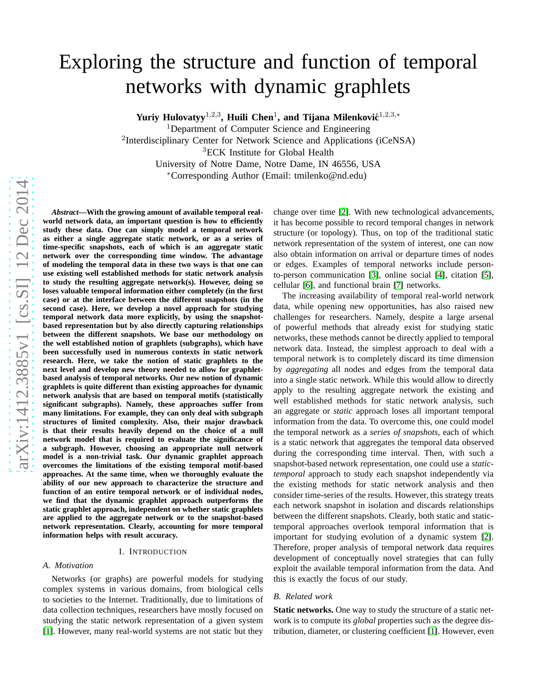# Exploring the structure and function of temporal networks with dynamic graphlets

Yuriy Hulovatyy<sup>1,2,3</sup>, Huili Chen<sup>1</sup>, and Tijana Milenković<sup>1,2,3,\*</sup>

<sup>1</sup>Department of Computer Science and Engineering

<sup>2</sup>Interdisciplinary Center for Network Science and Applications (iCeNSA)<br><sup>3</sup>ECK Institute for Global Health University of Notre Dame, Notre Dame, IN 46556, USA \*Corresponding Author (Email: tmilenko@nd.edu)

*Abstract***—With the growing amount of available temporal realworld network data, an important question is how to efficiently study these data. One can simply model a temporal network as either a single aggregate static network, or as a series of time-specific snapshots, each of which is an aggregate stati c network over the corresponding time window. The advantage of modeling the temporal data in these two ways is that one can use existing well established methods for static network analysis to study the resulting aggregate network(s). However, doing so loses valuable temporal information either completely (in the first case) or at the interface between the different snapshots (in the second case). Here, we develop a novel approach for studying temporal network data more explicitly, by using the snapshotbased representation but by also directly capturing relationships between the different snapshots. We base our methodology on the well established notion of graphlets (subgraphs), which have been successfully used in numerous contexts in static network research. Here, we take the notion of static graphlets to the next level and develop new theory needed to allow for graphletbased analysis of temporal networks. Our new notion of dynamic graphlets is quite different than existing approaches for dynamic network analysis that are based on temporal motifs (statistically significant subgraphs). Namely, these approaches suffer from many limitations. For example, they can only deal with subgraph structures of limited complexity. Also, their major drawback is that their results heavily depend on the choice of a null network model that is required to evaluate the significance o f a subgraph. However, choosing an appropriate null network model is a non-trivial task. Our dynamic graphlet approach overcomes the limitations of the existing temporal motif-based approaches. At the same time, when we thoroughly evaluate th e** ability of our new approach to characterize the structure and **function of an entire temporal network or of individual nodes, we find that the dynamic graphlet approach outperforms the static graphlet approach, independent on whether static graphlets** are applied to the aggregate network or to the snapshot-based **network representation. Clearly, accounting for more temporal information helps with result accuracy.**

## I. INTRODUCTION

#### *A. Motivation*

Networks (or graphs) are powerful models for studying complex systems in various domains, from biological cells to societies to the Internet. Traditionally, due to limitations of data collection techniques, researchers have mostly focused on studying the static network representation of a given syste m [\[1\]](#page-9-0). However, many real-world systems are not static but they

change over time [\[2\]](#page-9-1). With new technological advancements, it has become possible to record temporal changes in network structure (or topology). Thus, on top of the traditional static network representation of the system of interest, one can no w also obtain information on arrival or departure times of nodes or edges. Examples of temporal networks include personto-person communication [\[3\]](#page-9-2), online social [\[4\]](#page-9-3), citation [\[5\]](#page-9-4), cellular [\[6\]](#page-9-5), and functional brain [\[7\]](#page-9-6) networks.

The increasing availability of temporal real-world networ k data, while opening new opportunities, has also raised new challenges for researchers. Namely, despite a large arsena l of powerful methods that already exist for studying static networks, these methods cannot be directly applied to temporal network data. Instead, the simplest approach to deal with a temporal network is to completely discard its time dimensio n by *aggregating* all nodes and edges from the temporal data into a single static network. While this would allow to directly apply to the resulting aggregate network the existing and well established methods for static network analysis, such an aggregate or *static* approach loses all important temporal information from the data. To overcome this, one could model the temporal network as a *series of snapshots*, each of which is a static network that aggregates the temporal data observed during the corresponding time interval. Then, with such a snapshot-based network representation, one could use a *statictemporal* approach to study each snapshot independently via the existing methods for static network analysis and then consider time-series of the results. However, this strategy treats each network snapshot in isolation and discards relationships between the different snapshots. Clearly, both static and statictemporal approaches overlook temporal information that is important for studying evolution of a dynamic system [\[2\]](#page-9-1). Therefore, proper analysis of temporal network data requires development of conceptually novel strategies that can fully exploit the available temporal information from the data. And this is exactly the focus of our study.

# *B. Related work*

**Static networks.** One way to study the structure of a static network is to compute its *global* properties such as the degree distribution, diameter, or clustering coefficient [\[1\]](#page-9-0). However, even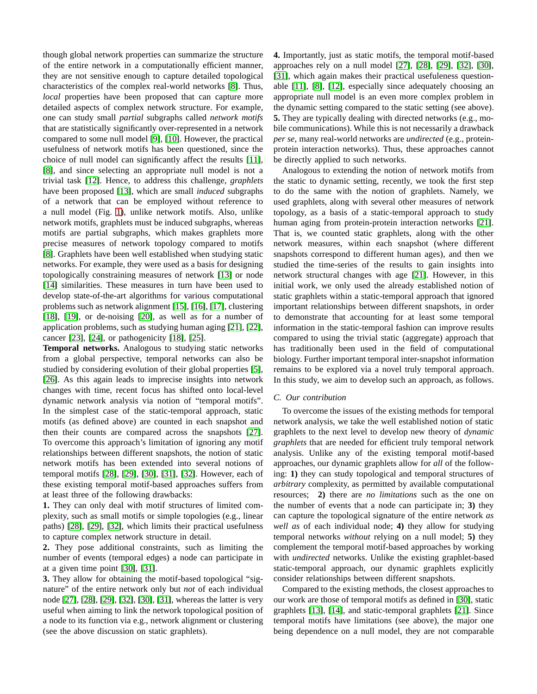though global network properties can summarize the structure of the entire network in a computationally efficient manner, they are not sensitive enough to capture detailed topological characteristics of the complex real-world networks [\[8\]](#page-9-7). Thus, *local* properties have been proposed that can capture more detailed aspects of complex network structure. For example, one can study small *partial* subgraphs called *network motifs* that are statistically significantly over-represented in a network compared to some null model [\[9\]](#page-9-8), [\[10\]](#page-9-9). However, the practical usefulness of network motifs has been questioned, since the choice of null model can significantly affect the results [\[11\]](#page-9-10), [\[8\]](#page-9-7), and since selecting an appropriate null model is not a trivial task [\[12\]](#page-9-11). Hence, to address this challenge, *graphlets* have been proposed [\[13\]](#page-9-12), which are small *induced* subgraphs of a network that can be employed without reference to a null model (Fig. [1\)](#page-2-0), unlike network motifs. Also, unlike network motifs, graphlets must be induced subgraphs, whereas motifs are partial subgraphs, which makes graphlets more precise measures of network topology compared to motifs [\[8\]](#page-9-7). Graphlets have been well established when studying static networks. For example, they were used as a basis for designing topologically constraining measures of network [\[13\]](#page-9-12) or node [\[14\]](#page-9-13) similarities. These measures in turn have been used to develop state-of-the-art algorithms for various computational problems such as network alignment [\[15\]](#page-9-14), [\[16\]](#page-9-15), [\[17\]](#page-10-0), clustering [\[18\]](#page-10-1), [\[19\]](#page-10-2), or de-noising [\[20\]](#page-10-3), as well as for a number of application problems, such as studying human aging [\[21\]](#page-10-4), [\[22\]](#page-10-5), cancer [\[23\]](#page-10-6), [\[24\]](#page-10-7), or pathogenicity [\[18\]](#page-10-1), [\[25\]](#page-10-8).

**Temporal networks.** Analogous to studying static networks from a global perspective, temporal networks can also be studied by considering evolution of their global properties [\[5\]](#page-9-4), [\[26\]](#page-10-9). As this again leads to imprecise insights into network changes with time, recent focus has shifted onto local-level dynamic network analysis via notion of "temporal motifs". In the simplest case of the static-temporal approach, static motifs (as defined above) are counted in each snapshot and then their counts are compared across the snapshots [\[27\]](#page-10-10). To overcome this approach's limitation of ignoring any motif relationships between different snapshots, the notion of static network motifs has been extended into several notions of temporal motifs [\[28\]](#page-10-11), [\[29\]](#page-10-12), [\[30\]](#page-10-13), [\[31\]](#page-10-14), [\[32\]](#page-10-15). However, each of these existing temporal motif-based approaches suffers from at least three of the following drawbacks:

**1.** They can only deal with motif structures of limited complexity, such as small motifs or simple topologies (e.g., linear paths) [\[28\]](#page-10-11), [\[29\]](#page-10-12), [\[32\]](#page-10-15), which limits their practical usefulness to capture complex network structure in detail.

**2.** They pose additional constraints, such as limiting the number of events (temporal edges) a node can participate in at a given time point [\[30\]](#page-10-13), [\[31\]](#page-10-14).

**3.** They allow for obtaining the motif-based topological "signature" of the entire network only but *not* of each individual node [\[27\]](#page-10-10), [\[28\]](#page-10-11), [\[29\]](#page-10-12), [\[32\]](#page-10-15), [\[30\]](#page-10-13), [\[31\]](#page-10-14), whereas the latter is very useful when aiming to link the network topological position of a node to its function via e.g., network alignment or clustering (see the above discussion on static graphlets).

**4.** Importantly, just as static motifs, the temporal motif-based approaches rely on a null model [\[27\]](#page-10-10), [\[28\]](#page-10-11), [\[29\]](#page-10-12), [\[32\]](#page-10-15), [\[30\]](#page-10-13), [\[31\]](#page-10-14), which again makes their practical usefuleness questionable [\[11\]](#page-9-10), [\[8\]](#page-9-7), [\[12\]](#page-9-11), especially since adequately choosing an appropriate null model is an even more complex problem in the dynamic setting compared to the static setting (see above). **5.** They are typically dealing with directed networks (e.g., mobile communications). While this is not necessarily a drawback *per se*, many real-world networks are *undirected* (e.g., proteinprotein interaction networks). Thus, these approaches cannot be directly applied to such networks.

Analogous to extending the notion of network motifs from the static to dynamic setting, recently, we took the first step to do the same with the notion of graphlets. Namely, we used graphlets, along with several other measures of network topology, as a basis of a static-temporal approach to study human aging from protein-protein interaction networks [\[21\]](#page-10-4). That is, we counted static graphlets, along with the other network measures, within each snapshot (where different snapshots correspond to different human ages), and then we studied the time-series of the results to gain insights into network structural changes with age [\[21\]](#page-10-4). However, in this initial work, we only used the already established notion of static graphlets within a static-temporal approach that ignored important relationships between different snapshots, in order to demonstrate that accounting for at least some temporal information in the static-temporal fashion can improve results compared to using the trivial static (aggregate) approach that has traditionally been used in the field of computational biology. Further important temporal inter-snapshot information remains to be explored via a novel truly temporal approach. In this study, we aim to develop such an approach, as follows.

## *C. Our contribution*

To overcome the issues of the existing methods for temporal network analysis, we take the well established notion of static graphlets to the next level to develop new theory of *dynamic graphlets* that are needed for efficient truly temporal network analysis. Unlike any of the existing temporal motif-based approaches, our dynamic graphlets allow for *all* of the following: **1)** they can study topological and temporal structures of *arbitrary* complexity, as permitted by available computational resources; **2)** there are *no limitations* such as the one on the number of events that a node can participate in; **3)** they can capture the topological signature of the entire network *as well as* of each individual node; **4)** they allow for studying temporal networks *without* relying on a null model; **5)** they complement the temporal motif-based approaches by working with *undirected* networks. Unlike the existing graphlet-based static-temporal approach, our dynamic graphlets explicitly consider relationships between different snapshots.

Compared to the existing methods, the closest approaches to our work are those of temporal motifs as defined in [\[30\]](#page-10-13), static graphlets [\[13\]](#page-9-12), [\[14\]](#page-9-13), and static-temporal graphlets [\[21\]](#page-10-4). Since temporal motifs have limitations (see above), the major one being dependence on a null model, they are not comparable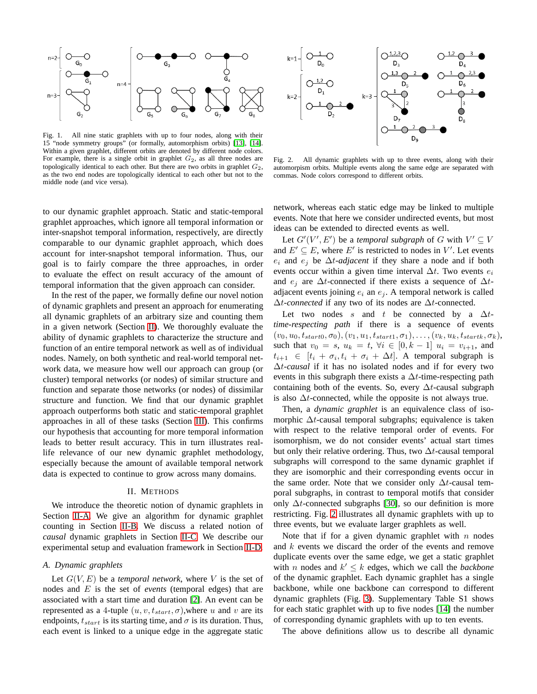

<span id="page-2-0"></span>Fig. 1. All nine static graphlets with up to four nodes, along with their 15 "node symmetry groups" (or formally, automorphism orbits) [\[13\]](#page-9-12), [\[14\]](#page-9-13). Within a given graphlet, different orbits are denoted by different node colors. For example, there is a single orbit in graphlet  $G_2$ , as all three nodes are topologically identical to each other. But there are two orbits in graphlet  $G_2$ , as the two end nodes are topologically identical to each other but not to the middle node (and vice versa).

to our dynamic graphlet approach. Static and static-temporal graphlet approaches, which ignore all temporal information or inter-snapshot temporal information, respectively, are directly comparable to our dynamic graphlet approach, which does account for inter-snapshot temporal information. Thus, our goal is to fairly compare the three approaches, in order to evaluate the effect on result accuracy of the amount of temporal information that the given approach can consider.

In the rest of the paper, we formally define our novel notion of dynamic graphlets and present an approach for enumerating all dynamic graphlets of an arbitrary size and counting them in a given network (Section [II\)](#page-2-1). We thoroughly evaluate the ability of dynamic graphlets to characterize the structure and function of an entire temporal network as well as of individual nodes. Namely, on both synthetic and real-world temporal network data, we measure how well our approach can group (or cluster) temporal networks (or nodes) of similar structure and function and separate those networks (or nodes) of dissimilar structure and function. We find that our dynamic graphlet approach outperforms both static and static-temporal graphlet approaches in all of these tasks (Section [III\)](#page-6-0). This confirms our hypothesis that accounting for more temporal information leads to better result accuracy. This in turn illustrates reallife relevance of our new dynamic graphlet methodology, especially because the amount of available temporal network data is expected to continue to grow across many domains.

# II. METHODS

<span id="page-2-1"></span>We introduce the theoretic notion of dynamic graphlets in Section [II-A.](#page-2-2) We give an algorithm for dynamic graphlet counting in Section [II-B.](#page-3-0) We discuss a related notion of *causal* dynamic graphlets in Section [II-C.](#page-4-0) We describe our experimental setup and evaluation framework in Section [II-D.](#page-5-0)

# <span id="page-2-2"></span>*A. Dynamic graphlets*

Let  $G(V, E)$  be a *temporal network*, where V is the set of nodes and E is the set of *events* (temporal edges) that are associated with a start time and duration [\[2\]](#page-9-1). An event can be represented as a 4-tuple  $(u, v, t_{start}, \sigma)$ , where u and v are its endpoints,  $t_{start}$  is its starting time, and  $\sigma$  is its duration. Thus, each event is linked to a unique edge in the aggregate static



<span id="page-2-3"></span>Fig. 2. All dynamic graphlets with up to three events, along with their automorpism orbits. Multiple events along the same edge are separated with commas. Node colors correspond to different orbits.

network, whereas each static edge may be linked to multiple events. Note that here we consider undirected events, but most ideas can be extended to directed events as well.

Let  $G'(V', E')$  be a *temporal subgraph* of G with  $V' \subseteq V$ and  $E' \subseteq E$ , where E' is restricted to nodes in V'. Let events  $e_i$  and  $e_j$  be  $\Delta t$ -*adjacent* if they share a node and if both events occur within a given time interval  $\Delta t$ . Two events  $e_i$ and  $e_i$  are  $\Delta t$ -connected if there exists a sequence of  $\Delta t$ adjacent events joining  $e_i$  an  $e_j$ . A temporal network is called ∆t*-connected* if any two of its nodes are ∆t-connected.

Let two nodes s and t be connected by a  $\Delta t$ *time-respecting path* if there is a sequence of events  $(v_0, u_0, t_{start0}, \sigma_0), (v_1, u_1, t_{start1}, \sigma_1), \ldots, (v_k, u_k, t_{startk}, \sigma_k),$ such that  $v_0 = s$ ,  $u_k = t$ ,  $\forall i \in [0, k-1]$   $u_i = v_{i+1}$ , and  $t_{i+1} \in [t_i + \sigma_i, t_i + \sigma_i + \Delta t]$ . A temporal subgraph is ∆t*-causal* if it has no isolated nodes and if for every two events in this subgraph there exists a  $\Delta t$ -time-respecting path containing both of the events. So, every  $\Delta t$ -causal subgraph is also  $\Delta t$ -connected, while the opposite is not always true.

Then, a *dynamic graphlet* is an equivalence class of isomorphic  $\Delta t$ -causal temporal subgraphs; equivalence is taken with respect to the relative temporal order of events. For isomorphism, we do not consider events' actual start times but only their relative ordering. Thus, two  $\Delta t$ -causal temporal subgraphs will correspond to the same dynamic graphlet if they are isomorphic and their corresponding events occur in the same order. Note that we consider only  $\Delta t$ -causal temporal subgraphs, in contrast to temporal motifs that consider only  $\Delta t$ -connected subgraphs [\[30\]](#page-10-13), so our definition is more restricting. Fig. [2](#page-2-3) illustrates all dynamic graphlets with up to three events, but we evaluate larger graphlets as well.

Note that if for a given dynamic graphlet with  $n$  nodes and  $k$  events we discard the order of the events and remove duplicate events over the same edge, we get a static graphlet with *n* nodes and  $k' \leq k$  edges, which we call the *backbone* of the dynamic graphlet. Each dynamic graphlet has a single backbone, while one backbone can correspond to different dynamic graphlets (Fig. [3\)](#page-3-1). Supplementary Table S1 shows for each static graphlet with up to five nodes [\[14\]](#page-9-13) the number of corresponding dynamic graphlets with up to ten events.

The above definitions allow us to describe all dynamic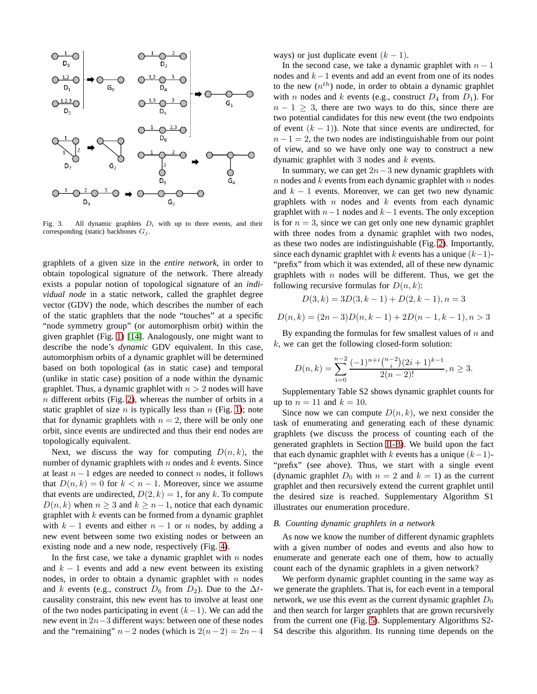

<span id="page-3-1"></span>Fig. 3. All dynamic graphlets  $D_i$  with up to three events, and their corresponding (static) backbones  $G_i$ .

graphlets of a given size in the *entire network*, in order to obtain topological signature of the network. There already exists a popular notion of topological signature of an *individual node* in a static network, called the graphlet degree vector (GDV) the node, which describes the number of each of the static graphlets that the node "touches" at a specific "node symmetry group" (or automorphism orbit) within the given graphlet (Fig. [1\)](#page-2-0) [\[14\]](#page-9-13). Analogously, one might want to describe the node's *dynamic* GDV equivalent. In this case, automorphism orbits of a dynamic graphlet will be determined based on both topological (as in static case) and temporal (unlike in static case) position of a node within the dynamic graphlet. Thus, a dynamic graphlet with  $n > 2$  nodes will have  $n$  different orbits (Fig. [2\)](#page-2-3), whereas the number of orbits in a static graphlet of size  $n$  is typically less than  $n$  (Fig. [1\)](#page-2-0); note that for dynamic graphlets with  $n = 2$ , there will be only one orbit, since events are undirected and thus their end nodes are topologically equivalent.

Next, we discuss the way for computing  $D(n, k)$ , the number of dynamic graphlets with  $n$  nodes and  $k$  events. Since at least  $n - 1$  edges are needed to connect n nodes, it follows that  $D(n, k) = 0$  for  $k < n - 1$ . Moreover, since we assume that events are undirected,  $D(2, k) = 1$ , for any k. To compute  $D(n, k)$  when  $n \geq 3$  and  $k \geq n-1$ , notice that each dynamic graphlet with  $k$  events can be formed from a dynamic graphlet with  $k - 1$  events and either  $n - 1$  or n nodes, by adding a new event between some two existing nodes or between an existing node and a new node, respectively (Fig. [4\)](#page-4-1).

In the first case, we take a dynamic graphlet with  $n$  nodes and  $k - 1$  events and add a new event between its existing nodes, in order to obtain a dynamic graphlet with  $n$  nodes and k events (e.g., construct  $D_6$  from  $D_2$ ). Due to the  $\Delta t$ causality constraint, this new event has to involve at least one of the two nodes participating in event  $(k-1)$ . We can add the new event in 2n−3 different ways: between one of these nodes and the "remaining"  $n-2$  nodes (which is  $2(n-2) = 2n-4$  ways) or just duplicate event  $(k - 1)$ .

In the second case, we take a dynamic graphlet with  $n - 1$ nodes and k−1 events and add an event from one of its nodes to the new  $(n^{th})$  node, in order to obtain a dynamic graphlet with *n* nodes and *k* events (e.g., construct  $D_4$  from  $D_1$ ). For  $n - 1 \geq 3$ , there are two ways to do this, since there are two potential candidates for this new event (the two endpoints of event  $(k - 1)$ ). Note that since events are undirected, for  $n - 1 = 2$ , the two nodes are indistinguishable from our point of view, and so we have only one way to construct a new dynamic graphlet with 3 nodes and  $k$  events.

In summary, we can get  $2n-3$  new dynamic graphlets with  $n$  nodes and  $k$  events from each dynamic graphlet with  $n$  nodes and  $k - 1$  events. Moreover, we can get two new dynamic graphlets with  $n$  nodes and  $k$  events from each dynamic graphlet with  $n-1$  nodes and  $k-1$  events. The only exception is for  $n = 3$ , since we can get only one new dynamic graphlet with three nodes from a dynamic graphlet with two nodes, as these two nodes are indistinguishable (Fig. [2\)](#page-2-3). Importantly, since each dynamic graphlet with k events has a unique  $(k-1)$ -"prefix" from which it was extended, all of these new dynamic graphlets with  $n$  nodes will be different. Thus, we get the following recursive formulas for  $D(n, k)$ :

$$
D(3,k) = 3D(3,k-1) + D(2,k-1), n = 3
$$

$$
D(n,k) = (2n-3)D(n,k-1) + 2D(n-1,k-1), n > 3
$$

By expanding the formulas for few smallest values of  $n$  and  $k$ , we can get the following closed-form solution:

$$
D(n,k) = \sum_{i=0}^{n-2} \frac{(-1)^{n+i} \binom{n-2}{i} (2i+1)^{k-1}}{2(n-2)!}, n \ge 3.
$$

Supplementary Table S2 shows dynamic graphlet counts for up to  $n = 11$  and  $k = 10$ .

Since now we can compute  $D(n, k)$ , we next consider the task of enumerating and generating each of these dynamic graphlets (we discuss the process of counting each of the generated graphlets in Section [II-B\)](#page-3-0). We build upon the fact that each dynamic graphlet with k events has a unique  $(k-1)$ -"prefix" (see above). Thus, we start with a single event (dynamic graphlet  $D_0$  with  $n = 2$  and  $k = 1$ ) as the current graphlet and then recursively extend the current graphlet until the desired size is reached. Supplementary Algorithm S1 illustrates our enumeration procedure.

#### <span id="page-3-0"></span>*B. Counting dynamic graphlets in a network*

As now we know the number of different dynamic graphlets with a given number of nodes and events and also how to enumerate and generate each one of them, how to actually count each of the dynamic graphlets in a given network?

We perform dynamic graphlet counting in the same way as we generate the graphlets. That is, for each event in a temporal network, we use this event as the current dynamic graphlet  $D_0$ and then search for larger graphlets that are grown recursively from the current one (Fig. [5\)](#page-4-2). Supplementary Algorithms S2- S4 describe this algorithm. Its running time depends on the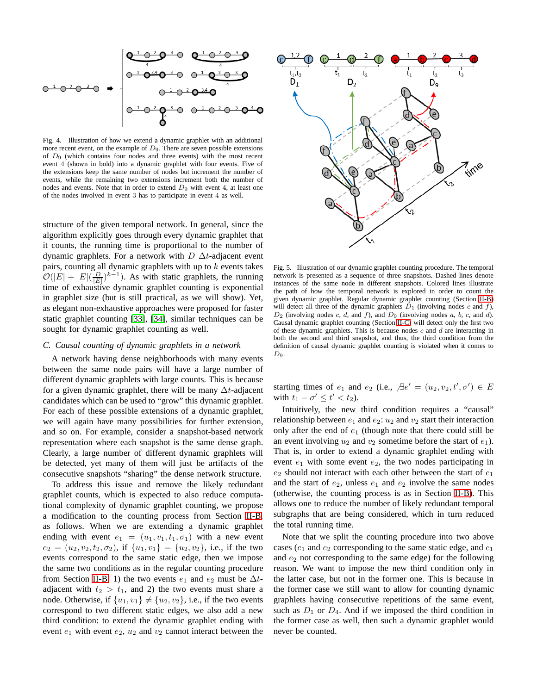$$
\begin{array}{c}\n0^{-1} \bigcirc^{2} \bigcirc^{3} \bigcirc^{2} \bigcirc^{3} \bigcirc^{2} \bigcirc^{3} \bigcirc^{4} \\
\hline\n0^{-1} \bigcirc^{2} \bigcirc^{3} \bigcirc^{2} \bigcirc^{3} \bigcirc^{4} \bigcirc^{4} \\
\hline\n0^{-1} \bigcirc^{2} \bigcirc^{3} \bigcirc^{2} \bigcirc^{3} \bigcirc^{4} \bigcirc^{4} \\
\hline\n0^{-1} \bigcirc^{2} \bigcirc^{3} \bigcirc^{2} \bigcirc^{3} \bigcirc^{4} \bigcirc^{4} \\
\hline\n0^{-1} \bigcirc^{2} \bigcirc^{3} \bigcirc^{2} \bigcirc^{3} \bigcirc^{4} \bigcirc^{4} \bigcirc^{4} \\
\hline\n0^{\frac{1}{2}} \bigcirc^{2} \bigcirc^{3} \bigcirc^{2} \bigcirc^{3} \bigcirc^{4} \bigcirc^{4} \bigcirc^{4} \bigcirc^{4} \bigcirc^{4} \bigcirc^{4} \bigcirc^{4} \bigcirc^{4} \bigcirc^{4} \bigcirc^{4} \bigcirc^{4} \bigcirc^{4} \bigcirc^{4} \bigcirc^{4} \bigcirc^{4} \bigcirc^{4} \bigcirc^{4} \bigcirc^{4} \bigcirc^{4} \bigcirc^{4} \bigcirc^{4} \bigcirc^{4} \bigcirc^{4} \bigcirc^{4} \bigcirc^{4} \bigcirc^{4} \bigcirc^{4} \bigcirc^{4} \bigcirc^{4} \bigcirc^{4} \bigcirc^{4} \bigcirc^{4} \bigcirc^{4} \bigcirc^{4} \bigcirc^{4} \bigcirc^{4} \bigcirc^{4} \bigcirc^{4} \bigcirc^{4} \bigcirc^{4} \bigcirc^{4} \bigcirc^{4} \bigcirc^{4} \bigcirc^{4} \bigcirc^{4} \bigcirc^{4} \bigcirc^{4} \bigcirc^{4} \bigcirc^{4} \bigcirc^{4} \bigcirc^{4} \bigcirc^{4} \bigcirc^{4} \bigcirc^{4} \bigcirc^{4} \bigcirc^{4} \bigcirc^{4} \bigcirc^{4} \bigcirc^{4} \bigcirc^{4} \bigcirc^{4} \bigcirc^{4} \bigcirc^{4} \bigcirc^{4} \bigcirc^{4} \bigcirc^{4} \bigcirc^{4} \bigcirc^{4} \bigcirc^{4} \bigcirc^{4} \bigcirc^{4} \bigcirc^{4} \bigcirc^{4} \bigcirc^{4} \bigcirc^{4} \bigcirc^{4} \bigcirc^{4} \bigcirc^{4} \bigcirc^{4} \bigcirc^{4} \big
$$

<span id="page-4-1"></span>Fig. 4. Illustration of how we extend a dynamic graphlet with an additional more recent event, on the example of  $D_9$ . There are seven possible extensions of  $D_9$  (which contains four nodes and three events) with the most recent event 4 (shown in bold) into a dynamic graphlet with four events. Five of the extensions keep the same number of nodes but increment the number of events, while the remaining two extensions increment both the number of nodes and events. Note that in order to extend  $D<sub>9</sub>$  with event 4, at least one of the nodes involved in event 3 has to participate in event 4 as well.

structure of the given temporal network. In general, since the algorithm explicitly goes through every dynamic graphlet that it counts, the running time is proportional to the number of dynamic graphlets. For a network with  $D \Delta t$ -adjacent event pairs, counting all dynamic graphlets with up to  $k$  events takes  $\mathcal{O}(|E| + |E|(\frac{D}{|E|})^{k-1})$ . As with static graphlets, the running time of exhaustive dynamic graphlet counting is exponential in graphlet size (but is still practical, as we will show). Yet, as elegant non-exhaustive approaches were proposed for faster static graphlet counting [\[33\]](#page-10-16), [\[34\]](#page-10-17), similar techniques can be sought for dynamic graphlet counting as well.

## <span id="page-4-0"></span>*C. Causal counting of dynamic graphlets in a network*

A network having dense neighborhoods with many events between the same node pairs will have a large number of different dynamic graphlets with large counts. This is because for a given dynamic graphlet, there will be many  $\Delta t$ -adjacent candidates which can be used to "grow" this dynamic graphlet. For each of these possible extensions of a dynamic graphlet, we will again have many possibilities for further extension, and so on. For example, consider a snapshot-based network representation where each snapshot is the same dense graph. Clearly, a large number of different dynamic graphlets will be detected, yet many of them will just be artifacts of the consecutive snapshots "sharing" the dense network structure.

To address this issue and remove the likely redundant graphlet counts, which is expected to also reduce computational complexity of dynamic graphlet counting, we propose a modification to the counting process from Section [II-B,](#page-3-0) as follows. When we are extending a dynamic graphlet ending with event  $e_1 = (u_1, v_1, t_1, \sigma_1)$  with a new event  $e_2 = (u_2, v_2, t_2, \sigma_2)$ , if  $\{u_1, v_1\} = \{u_2, v_2\}$ , i.e., if the two events correspond to the same static edge, then we impose the same two conditions as in the regular counting procedure from Section [II-B:](#page-3-0) 1) the two events  $e_1$  and  $e_2$  must be  $\Delta t$ adjacent with  $t_2 > t_1$ , and 2) the two events must share a node. Otherwise, if  $\{u_1, v_1\} \neq \{u_2, v_2\}$ , i.e., if the two events correspond to two different static edges, we also add a new third condition: to extend the dynamic graphlet ending with event  $e_1$  with event  $e_2$ ,  $u_2$  and  $v_2$  cannot interact between the



<span id="page-4-2"></span>Fig. 5. Illustration of our dynamic graphlet counting procedure. The temporal network is presented as a sequence of three snapshots. Dashed lines denote instances of the same node in different snapshots. Colored lines illustrate the path of how the temporal network is explored in order to count the given dynamic graphlet. Regular dynamic graphlet counting (Section [II-B\)](#page-3-0) will detect all three of the dynamic graphlets  $D_1$  (involving nodes c and f),  $D_2$  (involving nodes c, d, and f), and  $D_9$  (involving nodes a, b, c, and d). Causal dynamic graphlet counting (Section [II-C\)](#page-4-0) will detect only the first two of these dynamic graphlets. This is because nodes  $c$  and  $d$  are interacting in both the second and third snapshot, and thus, the third condition from the definition of causal dynamic graphlet counting is violated when it comes to  $D_9$ .

starting times of  $e_1$  and  $e_2$  (i.e.,  $\Box e' = (u_2, v_2, t', \sigma') \in E$ with  $t_1 - \sigma' \leq t' < t_2$ ).

Intuitively, the new third condition requires a "causal" relationship between  $e_1$  and  $e_2$ :  $u_2$  and  $v_2$  start their interaction only after the end of  $e_1$  (though note that there could still be an event involving  $u_2$  and  $v_2$  sometime before the start of  $e_1$ ). That is, in order to extend a dynamic graphlet ending with event  $e_1$  with some event  $e_2$ , the two nodes participating in  $e_2$  should not interact with each other between the start of  $e_1$ and the start of  $e_2$ , unless  $e_1$  and  $e_2$  involve the same nodes (otherwise, the counting process is as in Section [II-B\)](#page-3-0). This allows one to reduce the number of likely redundant temporal subgraphs that are being considered, which in turn reduced the total running time.

Note that we split the counting procedure into two above cases ( $e_1$  and  $e_2$  corresponding to the same static edge, and  $e_1$ and  $e_2$  not corresponding to the same edge) for the following reason. We want to impose the new third condition only in the latter case, but not in the former one. This is because in the former case we still want to allow for counting dynamic graphlets having consecutive repetitions of the same event, such as  $D_1$  or  $D_4$ . And if we imposed the third condition in the former case as well, then such a dynamic graphlet would never be counted.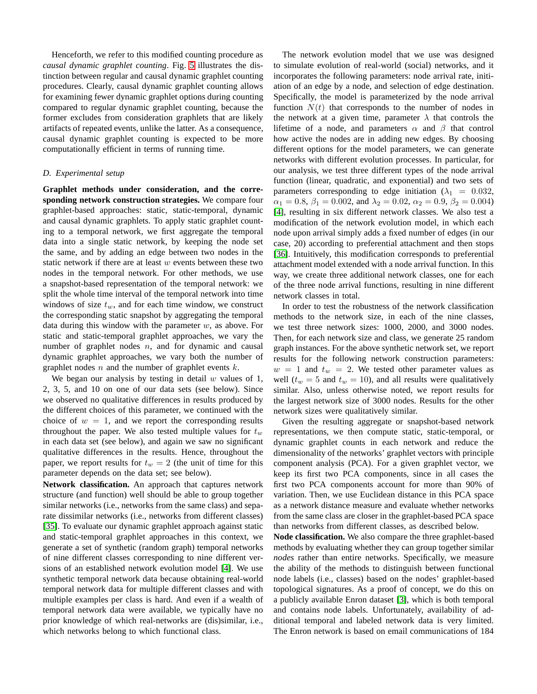Henceforth, we refer to this modified counting procedure as *causal dynamic graphlet counting*. Fig. [5](#page-4-2) illustrates the distinction between regular and causal dynamic graphlet counting procedures. Clearly, causal dynamic graphlet counting allows for examining fewer dynamic graphlet options during counting compared to regular dynamic graphlet counting, because the former excludes from consideration graphlets that are likely artifacts of repeated events, unlike the latter. As a consequence, causal dynamic graphlet counting is expected to be more computationally efficient in terms of running time.

# <span id="page-5-0"></span>*D. Experimental setup*

**Graphlet methods under consideration, and the corresponding network construction strategies.** We compare four graphlet-based approaches: static, static-temporal, dynamic and causal dynamic graphlets. To apply static graphlet counting to a temporal network, we first aggregate the temporal data into a single static network, by keeping the node set the same, and by adding an edge between two nodes in the static network if there are at least  $w$  events between these two nodes in the temporal network. For other methods, we use a snapshot-based representation of the temporal network: we split the whole time interval of the temporal network into time windows of size  $t_w$ , and for each time window, we construct the corresponding static snapshot by aggregating the temporal data during this window with the parameter  $w$ , as above. For static and static-temporal graphlet approaches, we vary the number of graphlet nodes  $n$ , and for dynamic and causal dynamic graphlet approaches, we vary both the number of graphlet nodes  $n$  and the number of graphlet events  $k$ .

We began our analysis by testing in detail  $w$  values of 1, 2, 3, 5, and 10 on one of our data sets (see below). Since we observed no qualitative differences in results produced by the different choices of this parameter, we continued with the choice of  $w = 1$ , and we report the corresponding results throughout the paper. We also tested multiple values for  $t_w$ in each data set (see below), and again we saw no significant qualitative differences in the results. Hence, throughout the paper, we report results for  $t_w = 2$  (the unit of time for this parameter depends on the data set; see below).

**Network classification.** An approach that captures network structure (and function) well should be able to group together similar networks (i.e., networks from the same class) and separate dissimilar networks (i.e., networks from different classes) [\[35\]](#page-10-18). To evaluate our dynamic graphlet approach against static and static-temporal graphlet approaches in this context, we generate a set of synthetic (random graph) temporal networks of nine different classes corresponding to nine different versions of an established network evolution model [\[4\]](#page-9-3). We use synthetic temporal network data because obtaining real-world temporal network data for multiple different classes and with multiple examples per class is hard. And even if a wealth of temporal network data were available, we typically have no prior knowledge of which real-networks are (dis)similar, i.e., which networks belong to which functional class.

The network evolution model that we use was designed to simulate evolution of real-world (social) networks, and it incorporates the following parameters: node arrival rate, initiation of an edge by a node, and selection of edge destination. Specifically, the model is parameterized by the node arrival function  $N(t)$  that corresponds to the number of nodes in the network at a given time, parameter  $\lambda$  that controls the lifetime of a node, and parameters  $\alpha$  and  $\beta$  that control how active the nodes are in adding new edges. By choosing different options for the model parameters, we can generate networks with different evolution processes. In particular, for our analysis, we test three different types of the node arrival function (linear, quadratic, and exponential) and two sets of parameters corresponding to edge initiation ( $\lambda_1 = 0.032$ ,  $\alpha_1 = 0.8, \beta_1 = 0.002, \text{ and } \lambda_2 = 0.02, \alpha_2 = 0.9, \beta_2 = 0.004$ [\[4\]](#page-9-3), resulting in six different network classes. We also test a modification of the network evolution model, in which each node upon arrival simply adds a fixed number of edges (in our case, 20) according to preferential attachment and then stops [\[36\]](#page-10-19). Intuitively, this modification corresponds to preferential attachment model extended with a node arrival function. In this way, we create three additional network classes, one for each of the three node arrival functions, resulting in nine different network classes in total.

In order to test the robustness of the network classification methods to the network size, in each of the nine classes, we test three network sizes: 1000, 2000, and 3000 nodes. Then, for each network size and class, we generate 25 random graph instances. For the above synthetic network set, we report results for the following network construction parameters:  $w = 1$  and  $t_w = 2$ . We tested other parameter values as well ( $t_w = 5$  and  $t_w = 10$ ), and all results were qualitatively similar. Also, unless otherwise noted, we report results for the largest network size of 3000 nodes. Results for the other network sizes were qualitatively similar.

Given the resulting aggregate or snapshot-based network representations, we then compute static, static-temporal, or dynamic graphlet counts in each network and reduce the dimensionality of the networks' graphlet vectors with principle component analysis (PCA). For a given graphlet vector, we keep its first two PCA components, since in all cases the first two PCA components account for more than 90% of variation. Then, we use Euclidean distance in this PCA space as a network distance measure and evaluate whether networks from the same class are closer in the graphlet-based PCA space than networks from different classes, as described below.

**Node classification.** We also compare the three graphlet-based methods by evaluating whether they can group together similar *nodes* rather than entire networks. Specifically, we measure the ability of the methods to distinguish between functional node labels (i.e., classes) based on the nodes' graphlet-based topological signatures. As a proof of concept, we do this on a publicly available Enron dataset [\[3\]](#page-9-2), which is both temporal and contains node labels. Unfortunately, availability of additional temporal and labeled network data is very limited. The Enron network is based on email communications of 184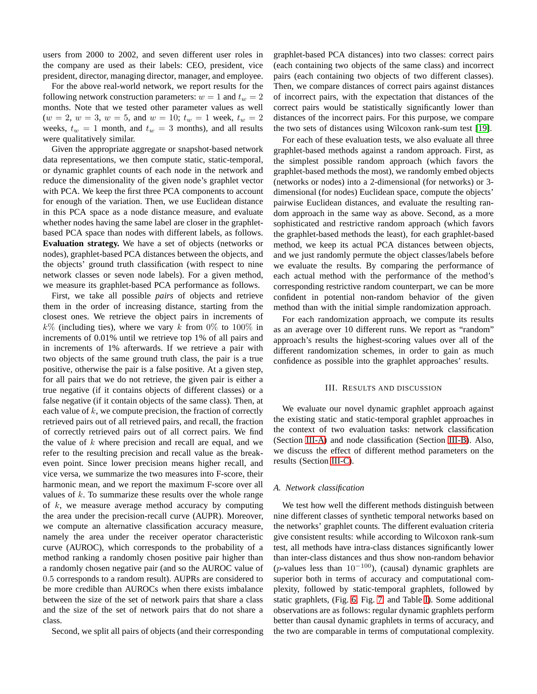users from 2000 to 2002, and seven different user roles in the company are used as their labels: CEO, president, vice president, director, managing director, manager, and employee.

For the above real-world network, we report results for the following network construction parameters:  $w = 1$  and  $t_w = 2$ months. Note that we tested other parameter values as well  $(w = 2, w = 3, w = 5, \text{ and } w = 10; t_w = 1 \text{ week}, t_w = 2$ weeks,  $t_w = 1$  month, and  $t_w = 3$  months), and all results were qualitatively similar.

Given the appropriate aggregate or snapshot-based network data representations, we then compute static, static-temporal, or dynamic graphlet counts of each node in the network and reduce the dimensionality of the given node's graphlet vector with PCA. We keep the first three PCA components to account for enough of the variation. Then, we use Euclidean distance in this PCA space as a node distance measure, and evaluate whether nodes having the same label are closer in the graphletbased PCA space than nodes with different labels, as follows. **Evaluation strategy.** We have a set of objects (networks or nodes), graphlet-based PCA distances between the objects, and the objects' ground truth classification (with respect to nine network classes or seven node labels). For a given method, we measure its graphlet-based PCA performance as follows.

First, we take all possible *pairs* of objects and retrieve them in the order of increasing distance, starting from the closest ones. We retrieve the object pairs in increments of  $k\%$  (including ties), where we vary k from 0% to 100% in increments of 0.01% until we retrieve top 1% of all pairs and in increments of 1% afterwards. If we retrieve a pair with two objects of the same ground truth class, the pair is a true positive, otherwise the pair is a false positive. At a given step, for all pairs that we do not retrieve, the given pair is either a true negative (if it contains objects of different classes) or a false negative (if it contain objects of the same class). Then, at each value of  $k$ , we compute precision, the fraction of correctly retrieved pairs out of all retrieved pairs, and recall, the fraction of correctly retrieved pairs out of all correct pairs. We find the value of  $k$  where precision and recall are equal, and we refer to the resulting precision and recall value as the breakeven point. Since lower precision means higher recall, and vice versa, we summarize the two measures into F-score, their harmonic mean, and we report the maximum F-score over all values of  $k$ . To summarize these results over the whole range of  $k$ , we measure average method accuracy by computing the area under the precision-recall curve (AUPR). Moreover, we compute an alternative classification accuracy measure, namely the area under the receiver operator characteristic curve (AUROC), which corresponds to the probability of a method ranking a randomly chosen positive pair higher than a randomly chosen negative pair (and so the AUROC value of 0.5 corresponds to a random result). AUPRs are considered to be more credible than AUROCs when there exists imbalance between the size of the set of network pairs that share a class and the size of the set of network pairs that do not share a class.

Second, we split all pairs of objects (and their corresponding

graphlet-based PCA distances) into two classes: correct pairs (each containing two objects of the same class) and incorrect pairs (each containing two objects of two different classes). Then, we compare distances of correct pairs against distances of incorrect pairs, with the expectation that distances of the correct pairs would be statistically significantly lower than distances of the incorrect pairs. For this purpose, we compare the two sets of distances using Wilcoxon rank-sum test [\[19\]](#page-10-2).

For each of these evaluation tests, we also evaluate all three graphlet-based methods against a random approach. First, as the simplest possible random approach (which favors the graphlet-based methods the most), we randomly embed objects (networks or nodes) into a 2-dimensional (for networks) or 3 dimensional (for nodes) Euclidean space, compute the objects' pairwise Euclidean distances, and evaluate the resulting random approach in the same way as above. Second, as a more sophisticated and restrictive random approach (which favors the graphlet-based methods the least), for each graphlet-based method, we keep its actual PCA distances between objects, and we just randomly permute the object classes/labels before we evaluate the results. By comparing the performance of each actual method with the performance of the method's corresponding restrictive random counterpart, we can be more confident in potential non-random behavior of the given method than with the initial simple randomization approach.

For each randomization approach, we compute its results as an average over 10 different runs. We report as "random" approach's results the highest-scoring values over all of the different randomization schemes, in order to gain as much confidence as possible into the graphlet approaches' results.

#### III. RESULTS AND DISCUSSION

<span id="page-6-0"></span>We evaluate our novel dynamic graphlet approach against the existing static and static-temporal graphlet approaches in the context of two evaluation tasks: network classification (Section [III-A\)](#page-6-1) and node classification (Section [III-B\)](#page-7-0). Also, we discuss the effect of different method parameters on the results (Section [III-C\)](#page-9-16).

## <span id="page-6-1"></span>*A. Network classification*

We test how well the different methods distinguish between nine different classes of synthetic temporal networks based on the networks' graphlet counts. The different evaluation criteria give consistent results: while according to Wilcoxon rank-sum test, all methods have intra-class distances significantly lower than inter-class distances and thus show non-random behavior (p-values less than  $10^{-100}$ ), (causal) dynamic graphlets are superior both in terms of accuracy and computational complexity, followed by static-temporal graphlets, followed by static graphlets, (Fig. [6,](#page-7-1) Fig. [7,](#page-7-2) and Table [I\)](#page-7-3). Some additional observations are as follows: regular dynamic graphlets perform better than causal dynamic graphlets in terms of accuracy, and the two are comparable in terms of computational complexity.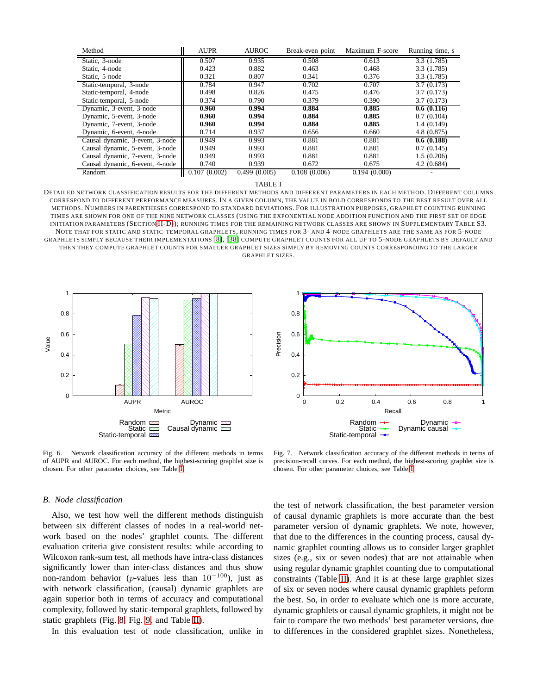| Method                          | <b>AUPR</b>  | <b>AUROC</b> | Break-even point | Maximum F-score | Running time, s |
|---------------------------------|--------------|--------------|------------------|-----------------|-----------------|
| Static, 3-node                  | 0.507        | 0.935        | 0.508            | 0.613           | 3.3(1.785)      |
| Static, 4-node                  | 0.423        | 0.882        | 0.463            | 0.468           | 3.3(1.785)      |
| Static, 5-node                  | 0.321        | 0.807        | 0.341            | 0.376           | 3.3(1.785)      |
| Static-temporal, 3-node         | 0.784        | 0.947        | 0.702            | 0.707           | 3.7(0.173)      |
| Static-temporal, 4-node         | 0.498        | 0.826        | 0.475            | 0.476           | 3.7(0.173)      |
| Static-temporal, 5-node         | 0.374        | 0.790        | 0.379            | 0.390           | 3.7(0.173)      |
| Dynamic, 3-event, 3-node        | 0.960        | 0.994        | 0.884            | 0.885           | 0.6(0.116)      |
| Dynamic, 5-event, 3-node        | 0.960        | 0.994        | 0.884            | 0.885           | 0.7(0.104)      |
| Dynamic, 7-event, 3-node        | 0.960        | 0.994        | 0.884            | 0.885           | 1.4(0.149)      |
| Dynamic, 6-event, 4-node        | 0.714        | 0.937        | 0.656            | 0.660           | 4.8 (0.875)     |
| Causal dynamic, 3-event, 3-node | 0.949        | 0.993        | 0.881            | 0.881           | 0.6(0.188)      |
| Causal dynamic, 5-event, 3-node | 0.949        | 0.993        | 0.881            | 0.881           | 0.7(0.145)      |
| Causal dynamic, 7-event, 3-node | 0.949        | 0.993        | 0.881            | 0.881           | 1.5(0.206)      |
| Causal dynamic, 6-event, 4-node | 0.740        | 0.939        | 0.672            | 0.675           | 4.2(0.684)      |
| Random                          | 0.107(0.002) | 0.499(0.005) | 0.108(0.006)     | 0.194(0.000)    |                 |

TABLE I

<span id="page-7-3"></span>DETAILED NETWORK CLASSIFICATION RESULTS FOR THE DIFFERENT METHODS AND DIFFERENT PARAMETERS IN EACH METHOD. DIFFERENT COLUMNS CORRESPOND TO DIFFERENT PERFORMANCE MEASURES. IN A GIVEN COLUMN, THE VALUE IN BOLD CORRESPONDS TO THE BEST RESULT OVER ALL METHODS. NUMBERS IN PARENTHESES CORRESPOND TO STANDARD DEVIATIONS. FOR ILLUSTRATION PURPOSES, GRAPHLET COUNTING RUNNING TIMES ARE SHOWN FOR ONE OF THE NINE NETWORK CLASSES (USING THE EXPONENTIAL NODE ADDITION FUNCTION AND THE FIRST SET OF EDGE INITIATION PARAMETERS (SECTION [II-D\)](#page-5-0)); RUNNING TIMES FOR THE REMAINING NETWORK CLASSES ARE SHOWN IN SUPPLEMENTARY TABLE S3. NOTE THAT FOR STATIC AND STATIC-TEMPORAL GRAPHLETS, RUNNING TIMES FOR 3- AND 4-NODE GRAPHLETS ARE THE SAME AS FOR 5-NODE GRAPHLETS SIMPLY BECAUSE THEIR IMPLEMENTATIONS [\[8\]](#page-9-7), [\[38\]](#page-10-20) COMPUTE GRAPHLET COUNTS FOR ALL UP TO 5-NODE GRAPHLETS BY DEFAULT AND THEN THEY COMPUTE GRAPHLET COUNTS FOR SMALLER GRAPHLET SIZES SIMPLY BY REMOVING COUNTS CORRESPONDING TO THE LARGER GRAPHLET SIZES.



<span id="page-7-1"></span>

#### <span id="page-7-0"></span>*B. Node classification*

Also, we test how well the different methods distinguish between six different classes of nodes in a real-world network based on the nodes' graphlet counts. The different evaluation criteria give consistent results: while according to Wilcoxon rank-sum test, all methods have intra-class distances significantly lower than inter-class distances and thus show non-random behavior (p-values less than  $10^{-100}$ ), just as with network classification, (causal) dynamic graphlets are again superior both in terms of accuracy and computational complexity, followed by static-temporal graphlets, followed by static graphlets (Fig. [8,](#page-8-0) Fig. [9,](#page-8-1) and Table [II\)](#page-8-2).

In this evaluation test of node classification, unlike in

 0 0.2 0.4 0.6 0.8 1 0 0.2 0.4 0.6 0.8 1 Precision Recal Random Static Static-temporal Dynamic Dynamic causal

<span id="page-7-2"></span>Fig. 7. Network classification accuracy of the different methods in terms of precision-recall curves. For each method, the highest-scoring graphlet size is chosen. For other parameter choices, see Table [I.](#page-7-3)

the test of network classification, the best parameter version of causal dynamic graphlets is more accurate than the best parameter version of dynamic graphlets. We note, however, that due to the differences in the counting process, causal dynamic graphlet counting allows us to consider larger graphlet sizes (e.g., six or seven nodes) that are not attainable when using regular dynamic graphlet counting due to computational constraints (Table [II\)](#page-8-2). And it is at these large graphlet sizes of six or seven nodes where causal dynamic graphlets peform the best. So, in order to evaluate which one is more accurate, dynamic graphlets or causal dynamic graphlets, it might not be fair to compare the two methods' best parameter versions, due to differences in the considered graphlet sizes. Nonetheless,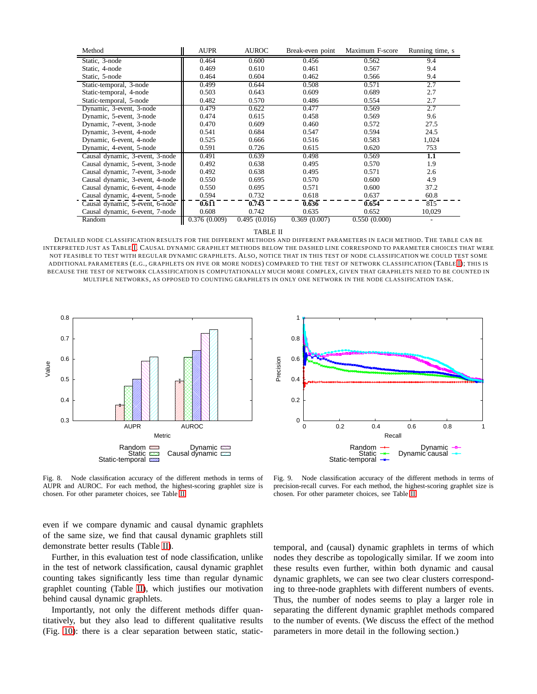| Method                          | <b>AUPR</b>  | <b>AUROC</b> | Break-even point | Maximum F-score | Running time, s |
|---------------------------------|--------------|--------------|------------------|-----------------|-----------------|
| Static, 3-node                  | 0.464        | 0.600        | 0.456            | 0.562           | 9.4             |
| Static, 4-node                  | 0.469        | 0.610        | 0.461            | 0.567           | 9.4             |
| Static, 5-node                  | 0.464        | 0.604        | 0.462            | 0.566           | 9.4             |
| Static-temporal, 3-node         | 0.499        | 0.644        | 0.508            | 0.571           | 2.7             |
| Static-temporal, 4-node         | 0.503        | 0.643        | 0.609            | 0.689           | 2.7             |
| Static-temporal, 5-node         | 0.482        | 0.570        | 0.486            | 0.554           | 2.7             |
| Dynamic, 3-event, 3-node        | 0.479        | 0.622        | 0.477            | 0.569           | 2.7             |
| Dynamic, 5-event, 3-node        | 0.474        | 0.615        | 0.458            | 0.569           | 9.6             |
| Dynamic, 7-event, 3-node        | 0.470        | 0.609        | 0.460            | 0.572           | 27.5            |
| Dynamic, 3-event, 4-node        | 0.541        | 0.684        | 0.547            | 0.594           | 24.5            |
| Dynamic, 6-event, 4-node        | 0.525        | 0.666        | 0.516            | 0.583           | 1,024           |
| Dynamic, 4-event, 5-node        | 0.591        | 0.726        | 0.615            | 0.620           | 753             |
| Causal dynamic, 3-event, 3-node | 0.491        | 0.639        | 0.498            | 0.569           | 1.1             |
| Causal dynamic, 5-event, 3-node | 0.492        | 0.638        | 0.495            | 0.570           | 1.9             |
| Causal dynamic, 7-event, 3-node | 0.492        | 0.638        | 0.495            | 0.571           | 2.6             |
| Causal dynamic, 3-event, 4-node | 0.550        | 0.695        | 0.570            | 0.600           | 4.9             |
| Causal dynamic, 6-event, 4-node | 0.550        | 0.695        | 0.571            | 0.600           | 37.2            |
| Causal dynamic, 4-event, 5-node | 0.594        | 0.732        | 0.618            | 0.637           | 60.8            |
| Causal dynamic, 5-event, 6-node | 0.611        | 0.743        | 0.636            | 0.654           | 815             |
| Causal dynamic, 6-event, 7-node | 0.608        | 0.742        | 0.635            | 0.652           | 10,029          |
| Random                          | 0.376(0.009) | 0.495(0.016) | 0.369(0.007)     | 0.550(0.000)    |                 |

TABLE II

<span id="page-8-2"></span>DETAILED NODE CLASSIFICATION RESULTS FOR THE DIFFERENT METHODS AND DIFFERENT PARAMETERS IN EACH METHOD. THE TABLE CAN BE INTERPRETED JUST AS TABLE [I.](#page-7-3) CAUSAL DYNAMIC GRAPHLET METHODS BELOW THE DASHED LINE CORRESPOND TO PARAMETER CHOICES THAT WERE NOT FEASIBLE TO TEST WITH REGULAR DYNAMIC GRAPHLETS. ALSO, NOTICE THAT IN THIS TEST OF NODE CLASSIFICATION WE COULD TEST SOME ADDITIONAL PARAMETERS (E.G., GRAPHLETS ON FIVE OR MORE NODES) COMPARED TO THE TEST OF NETWORK CLASSIFICATION (TABLE [I\)](#page-7-3); THIS IS BECAUSE THE TEST OF NETWORK CLASSIFICATION IS COMPUTATIONALLY MUCH MORE COMPLEX, GIVEN THAT GRAPHLETS NEED TO BE COUNTED IN MULTIPLE NETWORKS, AS OPPOSED TO COUNTING GRAPHLETS IN ONLY ONE NETWORK IN THE NODE CLASSIFICATION TASK.



<span id="page-8-0"></span>Fig. 8. Node classification accuracy of the different methods in terms of AUPR and AUROC. For each method, the highest-scoring graphlet size is chosen. For other parameter choices, see Table [II.](#page-8-2)

even if we compare dynamic and causal dynamic graphlets of the same size, we find that causal dynamic graphlets still demonstrate better results (Table [II\)](#page-8-2).

Further, in this evaluation test of node classification, unlike in the test of network classification, causal dynamic graphlet counting takes significantly less time than regular dynamic graphlet counting (Table [II\)](#page-8-2), which justifies our motivation behind causal dynamic graphlets.

Importantly, not only the different methods differ quantitatively, but they also lead to different qualitative results (Fig. [10\)](#page-9-17): there is a clear separation between static, static-



<span id="page-8-1"></span>Fig. 9. Node classification accuracy of the different methods in terms of precision-recall curves. For each method, the highest-scoring graphlet size is chosen. For other parameter choices, see Table [II.](#page-8-2)

temporal, and (causal) dynamic graphlets in terms of which nodes they describe as topologically similar. If we zoom into these results even further, within both dynamic and causal dynamic graphlets, we can see two clear clusters corresponding to three-node graphlets with different numbers of events. Thus, the number of nodes seems to play a larger role in separating the different dynamic graphlet methods compared to the number of events. (We discuss the effect of the method parameters in more detail in the following section.)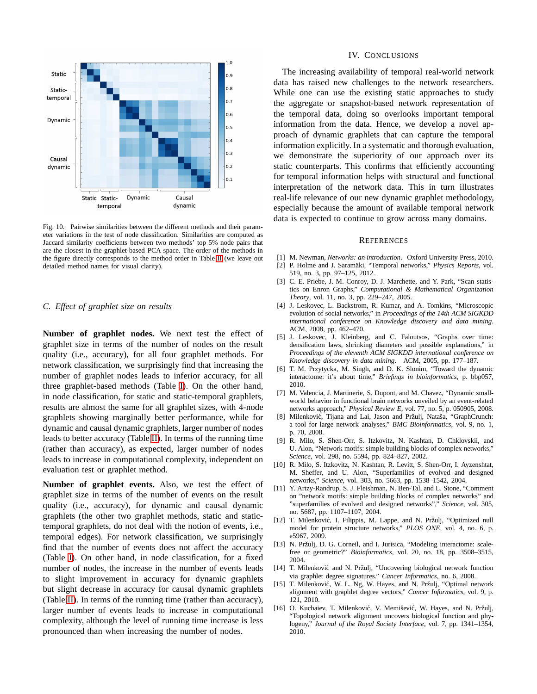

<span id="page-9-17"></span>Fig. 10. Pairwise similarities between the different methods and their parameter variations in the test of node classification. Similarities are computed as Jaccard similarity coefficients between two methods' top 5% node pairs that are the closest in the graphlet-based PCA space. The order of the methods in the figure directly corresponds to the method order in Table [II](#page-8-2) (we leave out detailed method names for visual clarity).

## <span id="page-9-16"></span>*C. Effect of graphlet size on results*

**Number of graphlet nodes.** We next test the effect of graphlet size in terms of the number of nodes on the result quality (i.e., accuracy), for all four graphlet methods. For network classification, we surprisingly find that increasing the number of graphlet nodes leads to inferior accuracy, for all three graphlet-based methods (Table [I\)](#page-7-3). On the other hand, in node classification, for static and static-temporal graphlets, results are almost the same for all graphlet sizes, with 4-node graphlets showing marginally better performance, while for dynamic and causal dynamic graphlets, larger number of nodes leads to better accuracy (Table [II\)](#page-8-2). In terms of the running time (rather than accuracy), as expected, larger number of nodes leads to increase in computational complexity, independent on evaluation test or graphlet method.

**Number of graphlet events.** Also, we test the effect of graphlet size in terms of the number of events on the result quality (i.e., accuracy), for dynamic and causal dynamic graphlets (the other two graphlet methods, static and statictemporal graphlets, do not deal with the notion of events, i.e., temporal edges). For network classification, we surprisingly find that the number of events does not affect the accuracy (Table [I\)](#page-7-3). On other hand, in node classification, for a fixed number of nodes, the increase in the number of events leads to slight improvement in accuracy for dynamic graphlets but slight decrease in accuracy for causal dynamic graphlets (Table [II\)](#page-8-2). In terms of the running time (rather than accuracy), larger number of events leads to increase in computational complexity, although the level of running time increase is less pronounced than when increasing the number of nodes.

#### IV. CONCLUSIONS

The increasing availability of temporal real-world network data has raised new challenges to the network researchers. While one can use the existing static approaches to study the aggregate or snapshot-based network representation of the temporal data, doing so overlooks important temporal information from the data. Hence, we develop a novel approach of dynamic graphlets that can capture the temporal information explicitly. In a systematic and thorough evaluation, we demonstrate the superiority of our approach over its static counterparts. This confirms that efficiently accounting for temporal information helps with structural and functional interpretation of the network data. This in turn illustrates real-life relevance of our new dynamic graphlet methodology, especially because the amount of available temporal network data is expected to continue to grow across many domains.

#### **REFERENCES**

- <span id="page-9-1"></span><span id="page-9-0"></span>[1] M. Newman, *Networks: an introduction*. Oxford University Press, 2010.
- [2] P. Holme and J. Saramäki, "Temporal networks," Physics Reports, vol. 519, no. 3, pp. 97–125, 2012.
- <span id="page-9-2"></span>[3] C. E. Priebe, J. M. Conroy, D. J. Marchette, and Y. Park, "Scan statistics on Enron Graphs," *Computational & Mathematical Organization Theory*, vol. 11, no. 3, pp. 229–247, 2005.
- <span id="page-9-3"></span>[4] J. Leskovec, L. Backstrom, R. Kumar, and A. Tomkins, "Microscopic evolution of social networks," in *Proceedings of the 14th ACM SIGKDD international conference on Knowledge discovery and data mining*. ACM, 2008, pp. 462–470.
- <span id="page-9-4"></span>[5] J. Leskovec, J. Kleinberg, and C. Faloutsos, "Graphs over time: densification laws, shrinking diameters and possible explanations," in *Proceedings of the eleventh ACM SIGKDD international conference on Knowledge discovery in data mining*. ACM, 2005, pp. 177–187.
- <span id="page-9-5"></span>[6] T. M. Przytycka, M. Singh, and D. K. Slonim, "Toward the dynamic interactome: it's about time," *Briefings in bioinformatics*, p. bbp057, 2010.
- <span id="page-9-6"></span>[7] M. Valencia, J. Martinerie, S. Dupont, and M. Chavez, "Dynamic smallworld behavior in functional brain networks unveiled by an event-related networks approach," *Physical Review E*, vol. 77, no. 5, p. 050905, 2008.
- <span id="page-9-7"></span>[8] Milenković, Tijana and Lai, Jason and Pržulj, Nataša, "GraphCrunch: a tool for large network analyses," *BMC Bioinformatics*, vol. 9, no. 1, p. 70, 2008.
- <span id="page-9-8"></span>[9] R. Milo, S. Shen-Orr, S. Itzkovitz, N. Kashtan, D. Chklovskii, and U. Alon, "Network motifs: simple building blocks of complex networks," *Science*, vol. 298, no. 5594, pp. 824–827, 2002.
- <span id="page-9-9"></span>[10] R. Milo, S. Itzkovitz, N. Kashtan, R. Levitt, S. Shen-Orr, I. Ayzenshtat, M. Sheffer, and U. Alon, "Superfamilies of evolved and designed networks," *Science*, vol. 303, no. 5663, pp. 1538–1542, 2004.
- <span id="page-9-10"></span>[11] Y. Artzy-Randrup, S. J. Fleishman, N. Ben-Tal, and L. Stone, "Comment on "network motifs: simple building blocks of complex networks" and "superfamilies of evolved and designed networks"," *Science*, vol. 305, no. 5687, pp. 1107–1107, 2004.
- <span id="page-9-11"></span>[12] T. Milenković, I. Filippis, M. Lappe, and N. Pržulj, "Optimized null model for protein structure networks," *PLOS ONE*, vol. 4, no. 6, p. e5967, 2009.
- <span id="page-9-12"></span>[13] N. Pržulj, D. G. Corneil, and I. Jurisica, "Modeling interactome: scalefree or geometric?" *Bioinformatics*, vol. 20, no. 18, pp. 3508–3515, 2004.
- <span id="page-9-13"></span>[14] T. Milenković and N. Pržulj, "Uncovering biological network function via graphlet degree signatures." *Cancer Informatics*, no. 6, 2008.
- <span id="page-9-14"></span>[15] T. Milenković, W. L. Ng, W. Hayes, and N. Pržulj, "Optimal network alignment with graphlet degree vectors," *Cancer Informatics*, vol. 9, p. 121, 2010.
- <span id="page-9-15"></span>[16] O. Kuchaiev, T. Milenković, V. Memišević, W. Hayes, and N. Pržulj, "Topological network alignment uncovers biological function and phylogeny," *Journal of the Royal Society Interface*, vol. 7, pp. 1341–1354, 2010.